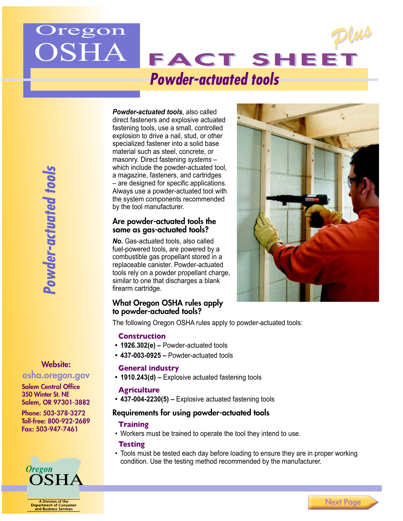

*Powder-actuated tools*, also called direct fasteners and explosive actuated fastening tools, use a small, controlled explosion to drive a nail, stud, or other specialized fastener into a solid base material such as steel, concrete, or masonry. Direct fastening *systems* – which include the powder-actuated tool, a magazine, fasteners, and cartridges – are designed for specific applications. Always use a powder-actuated tool with the system components recommended by the tool manufacturer.

## Are powder-actuated tools the same as gas-actuated tools?

*No.* Gas-actuated tools, also called fuel-powered tools, are powered by a combustible gas propellant stored in a replaceable canister. Powder-actuated tools rely on a powder propellant charge, similar to one that discharges a blank firearm cartridge.



### What Oregon OSHA rules apply to powder-actuated tools?

The following Oregon OSHA rules apply to powder-actuated tools:

## **Construction**

- **• 1926.302(e) –** Powder-actuated tools
- **• 437-003-0925 –** Powder-actuated tools

## **General industry**

**• 1910.243(d) –** Explosive actuated fastening tools

## **Agriculture**

**• 437-004-2230(5) –** Explosive actuated fastening tools

## Requirements for using powder-actuated tools

## **Training**

• Workers must be trained to operate the tool they intend to use.

## **Testing**

• Tools must be tested each day before loading to ensure they are in proper working condition. Use the testing method recommended by the manufacturer.

# Website:

# [osha.oregon.gov](http://osha.oregon.gov)

Salem Central Office 350 Winter St. NE Salem, OR 97301-3882

Phone: 503-378-3272 Toll-free: 800-922-2689 Fax: 503-947-7461